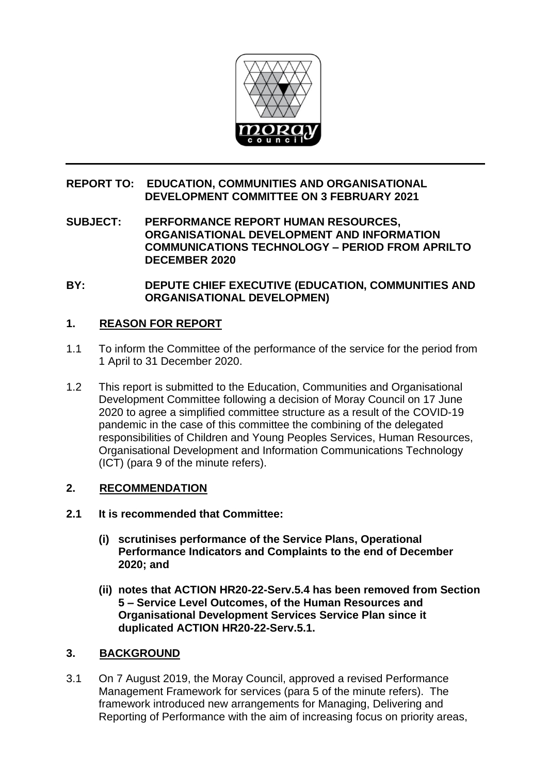

## **REPORT TO: EDUCATION, COMMUNITIES AND ORGANISATIONAL DEVELOPMENT COMMITTEE ON 3 FEBRUARY 2021**

**SUBJECT: PERFORMANCE REPORT HUMAN RESOURCES, ORGANISATIONAL DEVELOPMENT AND INFORMATION COMMUNICATIONS TECHNOLOGY – PERIOD FROM APRILTO DECEMBER 2020**

**BY: DEPUTE CHIEF EXECUTIVE (EDUCATION, COMMUNITIES AND ORGANISATIONAL DEVELOPMEN)**

# **1. REASON FOR REPORT**

- 1.1 To inform the Committee of the performance of the service for the period from 1 April to 31 December 2020.
- 1.2 This report is submitted to the Education, Communities and Organisational Development Committee following a decision of Moray Council on 17 June 2020 to agree a simplified committee structure as a result of the COVID-19 pandemic in the case of this committee the combining of the delegated responsibilities of Children and Young Peoples Services, Human Resources, Organisational Development and Information Communications Technology (ICT) (para 9 of the minute refers).

## **2. RECOMMENDATION**

- **2.1 It is recommended that Committee:**
	- **(i) scrutinises performance of the Service Plans, Operational Performance Indicators and Complaints to the end of December 2020; and**
	- **(ii) notes that ACTION HR20-22-Serv.5.4 has been removed from Section 5 – Service Level Outcomes, of the Human Resources and Organisational Development Services Service Plan since it duplicated ACTION HR20-22-Serv.5.1.**

## **3. BACKGROUND**

3.1 On 7 August 2019, the Moray Council, approved a revised Performance Management Framework for services (para 5 of the minute refers). The framework introduced new arrangements for Managing, Delivering and Reporting of Performance with the aim of increasing focus on priority areas,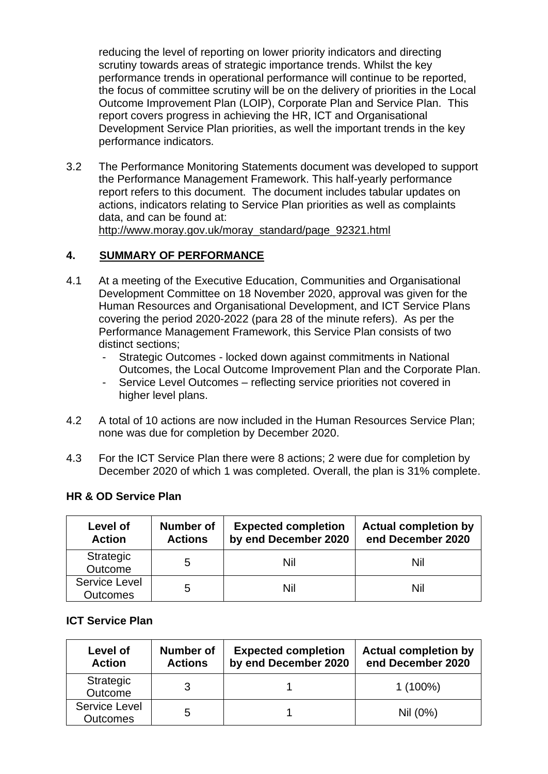reducing the level of reporting on lower priority indicators and directing scrutiny towards areas of strategic importance trends. Whilst the key performance trends in operational performance will continue to be reported, the focus of committee scrutiny will be on the delivery of priorities in the Local Outcome Improvement Plan (LOIP), Corporate Plan and Service Plan. This report covers progress in achieving the HR, ICT and Organisational Development Service Plan priorities, as well the important trends in the key performance indicators.

3.2 The Performance Monitoring Statements document was developed to support the Performance Management Framework. This half-yearly performance report refers to this document. The document includes tabular updates on actions, indicators relating to Service Plan priorities as well as complaints data, and can be found at: [http://www.moray.gov.uk/moray\\_standard/page\\_92321.html](http://www.moray.gov.uk/moray_standard/page_92321.html)

## **4. SUMMARY OF PERFORMANCE**

- 4.1 At a meeting of the Executive Education, Communities and Organisational Development Committee on 18 November 2020, approval was given for the Human Resources and Organisational Development, and ICT Service Plans covering the period 2020-2022 (para 28 of the minute refers). As per the Performance Management Framework, this Service Plan consists of two distinct sections;
	- Strategic Outcomes locked down against commitments in National Outcomes, the Local Outcome Improvement Plan and the Corporate Plan.
	- Service Level Outcomes reflecting service priorities not covered in higher level plans.
- 4.2 A total of 10 actions are now included in the Human Resources Service Plan; none was due for completion by December 2020.
- 4.3 For the ICT Service Plan there were 8 actions; 2 were due for completion by December 2020 of which 1 was completed. Overall, the plan is 31% complete.

| <b>HR &amp; OD Service Plan</b> |
|---------------------------------|
|                                 |

| Level of<br><b>Action</b>               | Number of<br><b>Actions</b> | <b>Expected completion</b><br>by end December 2020 | <b>Actual completion by</b><br>end December 2020 |
|-----------------------------------------|-----------------------------|----------------------------------------------------|--------------------------------------------------|
| Strategic<br>Outcome                    | 5                           | Nil                                                | Nil                                              |
| <b>Service Level</b><br><b>Outcomes</b> | 5                           | Nil                                                | Nil                                              |

## **ICT Service Plan**

| Level of<br><b>Action</b>               | <b>Number of</b><br><b>Actions</b> | <b>Expected completion</b><br>by end December 2020 | <b>Actual completion by</b><br>end December 2020 |
|-----------------------------------------|------------------------------------|----------------------------------------------------|--------------------------------------------------|
| Strategic<br>Outcome                    |                                    |                                                    | $1(100\%)$                                       |
| <b>Service Level</b><br><b>Outcomes</b> | 5                                  |                                                    | Nil (0%)                                         |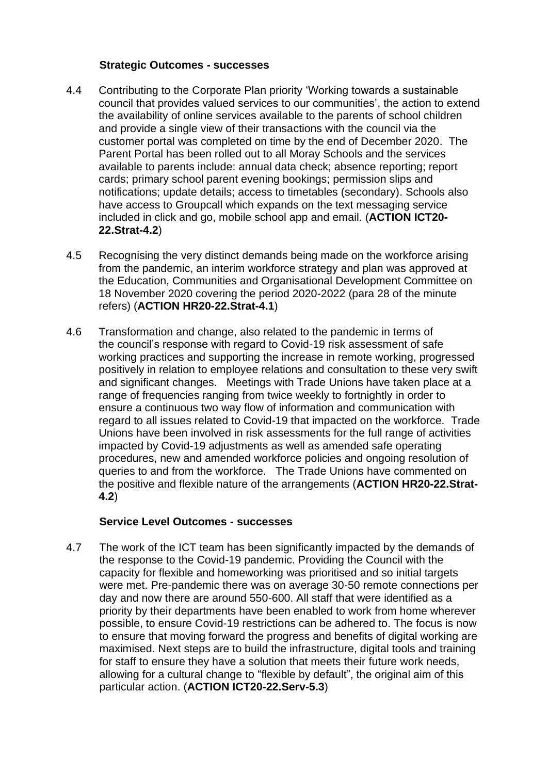#### **Strategic Outcomes - successes**

- 4.4 Contributing to the Corporate Plan priority 'Working towards a sustainable council that provides valued services to our communities', the action to extend the availability of online services available to the parents of school children and provide a single view of their transactions with the council via the customer portal was completed on time by the end of December 2020. The Parent Portal has been rolled out to all Moray Schools and the services available to parents include: annual data check; absence reporting; report cards; primary school parent evening bookings; permission slips and notifications; update details; access to timetables (secondary). Schools also have access to Groupcall which expands on the text messaging service included in click and go, mobile school app and email. (**ACTION ICT20- 22.Strat-4.2**)
- 4.5 Recognising the very distinct demands being made on the workforce arising from the pandemic, an interim workforce strategy and plan was approved at the Education, Communities and Organisational Development Committee on 18 November 2020 covering the period 2020-2022 (para 28 of the minute refers) (**ACTION HR20-22.Strat-4.1**)
- 4.6 Transformation and change, also related to the pandemic in terms of the council's response with regard to Covid-19 risk assessment of safe working practices and supporting the increase in remote working, progressed positively in relation to employee relations and consultation to these very swift and significant changes. Meetings with Trade Unions have taken place at a range of frequencies ranging from twice weekly to fortnightly in order to ensure a continuous two way flow of information and communication with regard to all issues related to Covid-19 that impacted on the workforce. Trade Unions have been involved in risk assessments for the full range of activities impacted by Covid-19 adjustments as well as amended safe operating procedures, new and amended workforce policies and ongoing resolution of queries to and from the workforce. The Trade Unions have commented on the positive and flexible nature of the arrangements (**ACTION HR20-22.Strat-4.2**)

## **Service Level Outcomes - successes**

4.7 The work of the ICT team has been significantly impacted by the demands of the response to the Covid-19 pandemic. Providing the Council with the capacity for flexible and homeworking was prioritised and so initial targets were met. Pre-pandemic there was on average 30-50 remote connections per day and now there are around 550-600. All staff that were identified as a priority by their departments have been enabled to work from home wherever possible, to ensure Covid-19 restrictions can be adhered to. The focus is now to ensure that moving forward the progress and benefits of digital working are maximised. Next steps are to build the infrastructure, digital tools and training for staff to ensure they have a solution that meets their future work needs, allowing for a cultural change to "flexible by default", the original aim of this particular action. (**ACTION ICT20-22.Serv-5.3**)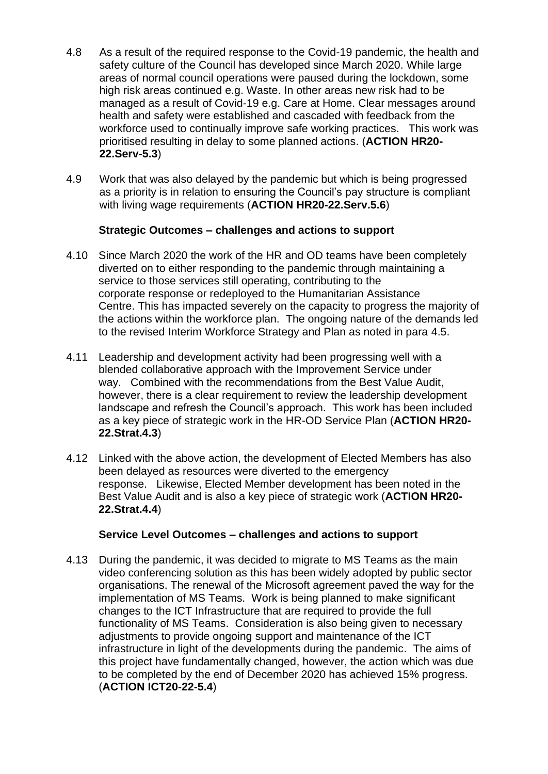- 4.8 As a result of the required response to the Covid-19 pandemic, the health and safety culture of the Council has developed since March 2020. While large areas of normal council operations were paused during the lockdown, some high risk areas continued e.g. Waste. In other areas new risk had to be managed as a result of Covid-19 e.g. Care at Home. Clear messages around health and safety were established and cascaded with feedback from the workforce used to continually improve safe working practices. This work was prioritised resulting in delay to some planned actions. (**ACTION HR20- 22.Serv-5.3**)
- 4.9 Work that was also delayed by the pandemic but which is being progressed as a priority is in relation to ensuring the Council's pay structure is compliant with living wage requirements (**ACTION HR20-22.Serv.5.6**)

## **Strategic Outcomes – challenges and actions to support**

- 4.10 Since March 2020 the work of the HR and OD teams have been completely diverted on to either responding to the pandemic through maintaining a service to those services still operating, contributing to the corporate response or redeployed to the Humanitarian Assistance Centre. This has impacted severely on the capacity to progress the majority of the actions within the workforce plan. The ongoing nature of the demands led to the revised Interim Workforce Strategy and Plan as noted in para 4.5.
- 4.11 Leadership and development activity had been progressing well with a blended collaborative approach with the Improvement Service under way. Combined with the recommendations from the Best Value Audit, however, there is a clear requirement to review the leadership development landscape and refresh the Council's approach. This work has been included as a key piece of strategic work in the HR-OD Service Plan (**ACTION HR20- 22.Strat.4.3**)
- 4.12 Linked with the above action, the development of Elected Members has also been delayed as resources were diverted to the emergency response. Likewise, Elected Member development has been noted in the Best Value Audit and is also a key piece of strategic work (**ACTION HR20- 22.Strat.4.4**)

# **Service Level Outcomes – challenges and actions to support**

4.13 During the pandemic, it was decided to migrate to MS Teams as the main video conferencing solution as this has been widely adopted by public sector organisations. The renewal of the Microsoft agreement paved the way for the implementation of MS Teams. Work is being planned to make significant changes to the ICT Infrastructure that are required to provide the full functionality of MS Teams. Consideration is also being given to necessary adjustments to provide ongoing support and maintenance of the ICT infrastructure in light of the developments during the pandemic. The aims of this project have fundamentally changed, however, the action which was due to be completed by the end of December 2020 has achieved 15% progress. (**ACTION ICT20-22-5.4**)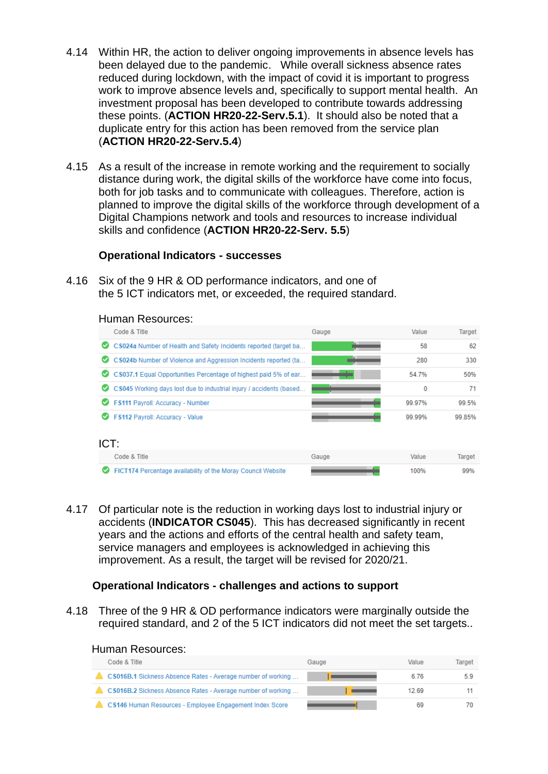- 4.14 Within HR, the action to deliver ongoing improvements in absence levels has been delayed due to the pandemic. While overall sickness absence rates reduced during lockdown, with the impact of covid it is important to progress work to improve absence levels and, specifically to support mental health. An investment proposal has been developed to contribute towards addressing these points. (**ACTION HR20-22-Serv.5.1**). It should also be noted that a duplicate entry for this action has been removed from the service plan (**ACTION HR20-22-Serv.5.4**)
- 4.15 As a result of the increase in remote working and the requirement to socially distance during work, the digital skills of the workforce have come into focus, both for job tasks and to communicate with colleagues. Therefore, action is planned to improve the digital skills of the workforce through development of a Digital Champions network and tools and resources to increase individual skills and confidence (**ACTION HR20-22-Serv. 5.5**)

#### **Operational Indicators - successes**

4.16 Six of the 9 HR & OD performance indicators, and one of the 5 ICT indicators met, or exceeded, the required standard.

|      | Human Resources:                                                    |       |        |        |
|------|---------------------------------------------------------------------|-------|--------|--------|
|      | Code & Title                                                        | Gauge | Value  | Target |
| Ø    | CS024a Number of Health and Safety Incidents reported (target ba    |       | 58     | 62     |
| ◛    | CS024b Number of Violence and Aggression Incidents reported (ta     |       | 280    | 330    |
| ☑    | CS037.1 Equal Opportunities Percentage of highest paid 5% of ear    |       | 54.7%  | 50%    |
|      | CS045 Working days lost due to industrial injury / accidents (based |       | 0      | 71     |
| Ø    | FS111 Payroll: Accuracy - Number                                    |       | 99.97% | 99.5%  |
|      | FS112 Payroll: Accuracy - Value                                     |       | 99.99% | 99.85% |
| ICT: |                                                                     |       |        |        |
|      | Code & Title                                                        | Gauge | Value  | Target |
|      | FICT174 Percentage availability of the Moray Council Website        |       | 100%   | 99%    |

4.17 Of particular note is the reduction in working days lost to industrial injury or accidents (**INDICATOR CS045**). This has decreased significantly in recent years and the actions and efforts of the central health and safety team, service managers and employees is acknowledged in achieving this improvement. As a result, the target will be revised for 2020/21.

## **Operational Indicators - challenges and actions to support**

4.18 Three of the 9 HR & OD performance indicators were marginally outside the required standard, and 2 of the 5 ICT indicators did not meet the set targets..

| Code & Title                                                | Gauge | Value | Target |
|-------------------------------------------------------------|-------|-------|--------|
| CS016B.1 Sickness Absence Rates - Average number of working |       | 6.76  | 5.9    |
| CS016B.2 Sickness Absence Rates - Average number of working |       | 12.69 |        |
| CS146 Human Resources - Employee Engagement Index Score     |       | 69    |        |

# Human Resources: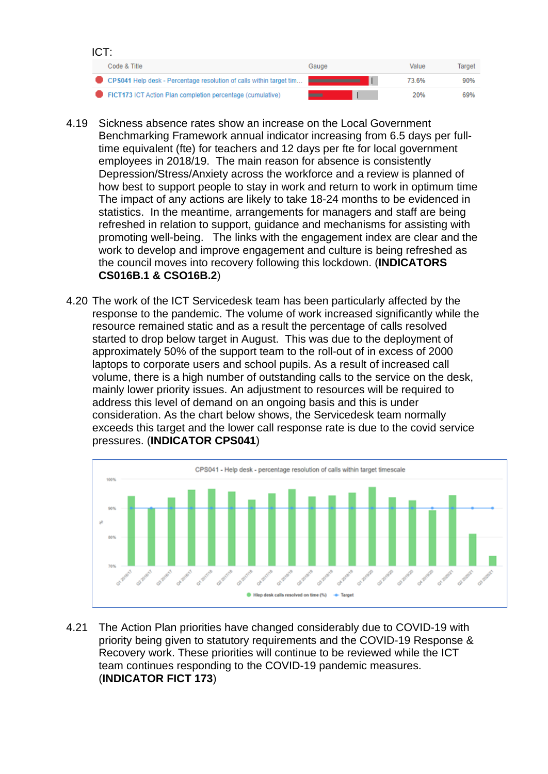

- 4.19 Sickness absence rates show an increase on the Local Government Benchmarking Framework annual indicator increasing from 6.5 days per fulltime equivalent (fte) for teachers and 12 days per fte for local government employees in 2018/19. The main reason for absence is consistently Depression/Stress/Anxiety across the workforce and a review is planned of how best to support people to stay in work and return to work in optimum time The impact of any actions are likely to take 18-24 months to be evidenced in statistics. In the meantime, arrangements for managers and staff are being refreshed in relation to support, guidance and mechanisms for assisting with promoting well-being. The links with the engagement index are clear and the work to develop and improve engagement and culture is being refreshed as the council moves into recovery following this lockdown. (**INDICATORS CS016B.1 & CSO16B.2**)
- 4.20 The work of the ICT Servicedesk team has been particularly affected by the response to the pandemic. The volume of work increased significantly while the resource remained static and as a result the percentage of calls resolved started to drop below target in August. This was due to the deployment of approximately 50% of the support team to the roll-out of in excess of 2000 laptops to corporate users and school pupils. As a result of increased call volume, there is a high number of outstanding calls to the service on the desk, mainly lower priority issues. An adjustment to resources will be required to address this level of demand on an ongoing basis and this is under consideration. As the chart below shows, the Servicedesk team normally exceeds this target and the lower call response rate is due to the covid service pressures. (**INDICATOR CPS041**)



4.21 The Action Plan priorities have changed considerably due to COVID-19 with priority being given to statutory requirements and the COVID-19 Response & Recovery work. These priorities will continue to be reviewed while the ICT team continues responding to the COVID-19 pandemic measures. (**INDICATOR FICT 173**)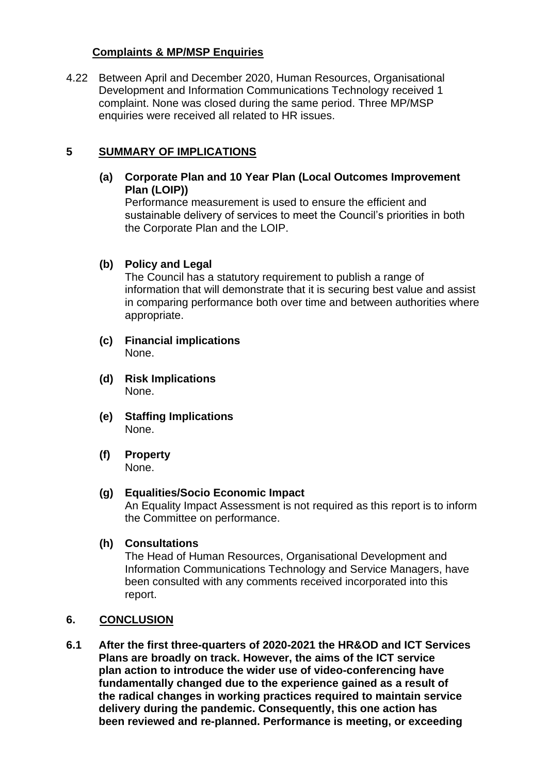# **Complaints & MP/MSP Enquiries**

4.22 Between April and December 2020, Human Resources, Organisational Development and Information Communications Technology received 1 complaint. None was closed during the same period. Three MP/MSP enquiries were received all related to HR issues.

# **5 SUMMARY OF IMPLICATIONS**

**(a) Corporate Plan and 10 Year Plan (Local Outcomes Improvement Plan (LOIP))**

Performance measurement is used to ensure the efficient and sustainable delivery of services to meet the Council's priorities in both the Corporate Plan and the LOIP.

## **(b) Policy and Legal**

The Council has a statutory requirement to publish a range of information that will demonstrate that it is securing best value and assist in comparing performance both over time and between authorities where appropriate.

- **(c) Financial implications** None.
- **(d) Risk Implications** None.
- **(e) Staffing Implications** None.
- **(f) Property** None.

## **(g) Equalities/Socio Economic Impact**

An Equality Impact Assessment is not required as this report is to inform the Committee on performance.

## **(h) Consultations**

The Head of Human Resources, Organisational Development and Information Communications Technology and Service Managers, have been consulted with any comments received incorporated into this report.

## **6. CONCLUSION**

**6.1 After the first three-quarters of 2020-2021 the HR&OD and ICT Services Plans are broadly on track. However, the aims of the ICT service plan action to introduce the wider use of video-conferencing have fundamentally changed due to the experience gained as a result of the radical changes in working practices required to maintain service delivery during the pandemic. Consequently, this one action has been reviewed and re-planned. Performance is meeting, or exceeding**